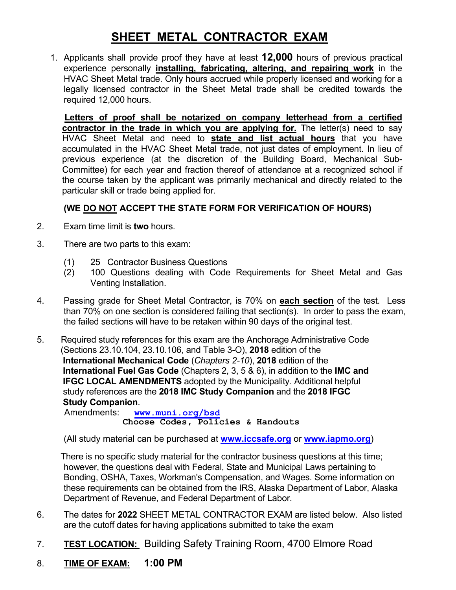# **SHEET METAL CONTRACTOR EXAM**

1. Applicants shall provide proof they have at least **12,000** hours of previous practical experience personally **installing, fabricating, altering, and repairing work** in the HVAC Sheet Metal trade. Only hours accrued while properly licensed and working for a legally licensed contractor in the Sheet Metal trade shall be credited towards the required 12,000 hours.

 **Letters of proof shall be notarized on company letterhead from a certified contractor in the trade in which you are applying for.** The letter(s) need to say HVAC Sheet Metal and need to **state and list actual hours** that you have accumulated in the HVAC Sheet Metal trade, not just dates of employment. In lieu of previous experience (at the discretion of the Building Board, Mechanical Sub- Committee) for each year and fraction thereof of attendance at a recognized school if the course taken by the applicant was primarily mechanical and directly related to the particular skill or trade being applied for.

## **(WE DO NOT ACCEPT THE STATE FORM FOR VERIFICATION OF HOURS)**

- 2. Exam time limit is **two** hours.
- 3. There are two parts to this exam:
	- (1) 25 Contractor Business Questions
	- (2) 100 Questions dealing with Code Requirements for Sheet Metal and Gas Venting Installation.
- 4. Passing grade for Sheet Metal Contractor, is 70% on **each section** of the test. Less than 70% on one section is considered failing that section(s). In order to pass the exam, the failed sections will have to be retaken within 90 days of the original test.
- 5. Required study references for this exam are the Anchorage Administrative Code (Sections 23.10.104, 23.10.106, and Table 3-O), **2018** edition of the **International Mechanical Code** (*Chapters 2-10*), **2018** edition of the **International Fuel Gas Code** (Chapters 2, 3, 5 & 6), in addition to the **IMC and IFGC LOCAL AMENDMENTS** adopted by the Municipality. Additional helpful study references are the **2018 IMC Study Companion** and the **2018 IFGC Study Companion**.

Amendments: **[www.muni.org/bsd](http://www.muni.org/bsd)  Choose Codes, Policies & Handouts** 

(All study material can be purchased at **[www.iccsafe.org](http://www.iccsafe.org/)** or **[www.iapmo.org](http://www.iapmo.org/)**)

 There is no specific study material for the contractor business questions at this time; however, the questions deal with Federal, State and Municipal Laws pertaining to Bonding, OSHA, Taxes, Workman's Compensation, and Wages. Some information on these requirements can be obtained from the IRS, Alaska Department of Labor, Alaska Department of Revenue, and Federal Department of Labor.

- 6. The dates for **2022** SHEET METAL CONTRACTOR EXAM are listed below. Also listed are the cutoff dates for having applications submitted to take the exam
- 7. **TEST LOCATION:** Building Safety Training Room, 4700 Elmore Road
- 8. **TIME OF EXAM: 1:00 PM**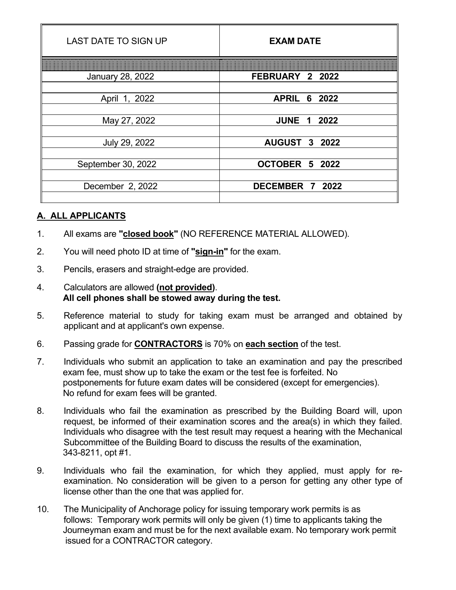| <b>LAST DATE TO SIGN UP</b> | <b>EXAM DATE</b>       |  |
|-----------------------------|------------------------|--|
|                             |                        |  |
| <b>January 28, 2022</b>     | FEBRUARY 2 2022        |  |
| April 1, 2022               | <b>APRIL</b><br>6 2022 |  |
| May 27, 2022                | <b>JUNE 1 2022</b>     |  |
|                             |                        |  |
| July 29, 2022               | <b>AUGUST 3 2022</b>   |  |
| September 30, 2022          | OCTOBER 5 2022         |  |
| December 2, 2022            | DECEMBER 7 2022        |  |

### **A. ALL APPLICANTS**

- 1. All exams are **"closed book"** (NO REFERENCE MATERIAL ALLOWED).
- 2. You will need photo ID at time of **"sign-in"** for the exam.
- 3. Pencils, erasers and straight-edge are provided.
- 4. Calculators are allowed **(not provided)**. **All cell phones shall be stowed away during the test.**
- 5. Reference material to study for taking exam must be arranged and obtained by applicant and at applicant's own expense.
- 6. Passing grade for **CONTRACTORS** is 70% on **each section** of the test.
- 7. Individuals who submit an application to take an examination and pay the prescribed exam fee, must show up to take the exam or the test fee is forfeited. No postponements for future exam dates will be considered (except for emergencies). No refund for exam fees will be granted.
- 8. Individuals who fail the examination as prescribed by the Building Board will, upon request, be informed of their examination scores and the area(s) in which they failed. Individuals who disagree with the test result may request a hearing with the Mechanical Subcommittee of the Building Board to discuss the results of the examination, 343-8211, opt #1.
- 9. Individuals who fail the examination, for which they applied, must apply for reexamination. No consideration will be given to a person for getting any other type of license other than the one that was applied for.
- 10. The Municipality of Anchorage policy for issuing temporary work permits is as follows: Temporary work permits will only be given (1) time to applicants taking the Journeyman exam and must be for the next available exam. No temporary work permit issued for a CONTRACTOR category.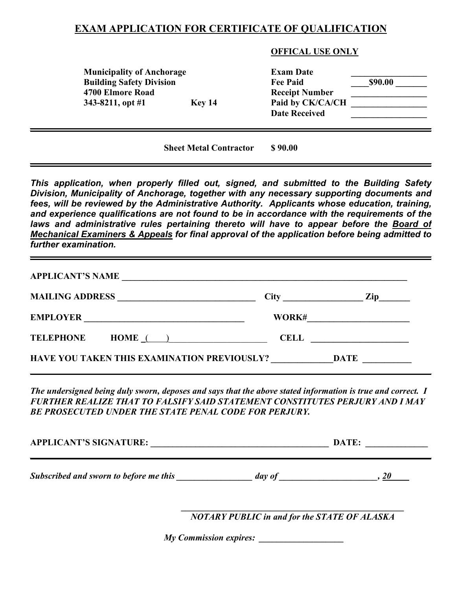## **EXAM APPLICATION FOR CERTIFICATE OF QUALIFICATION**

#### **OFFICAL USE ONLY**

| <b>Municipality of Anchorage</b><br><b>Building Safety Division</b> |               | <b>Exam Date</b><br><b>Fee Paid</b> | \$90.00 |
|---------------------------------------------------------------------|---------------|-------------------------------------|---------|
| 4700 Elmore Road                                                    |               | <b>Receipt Number</b>               |         |
| 343-8211, opt #1                                                    | <b>Key 14</b> | Paid by CK/CA/CH                    |         |
|                                                                     |               | <b>Date Received</b>                |         |

**Sheet Metal Contractor \$ 90.00**

*This application, when properly filled out, signed, and submitted to the Building Safety Division, Municipality of Anchorage, together with any necessary supporting documents and fees, will be reviewed by the Administrative Authority. Applicants whose education, training, and experience qualifications are not found to be in accordance with the requirements of the*  laws and administrative rules pertaining thereto will have to appear before the **Board of** *Mechanical Examiners & Appeals for final approval of the application before being admitted to further examination.*

| MAILING ADDRESS                | $City \qquad \qquad \qquad$ | Zip |
|--------------------------------|-----------------------------|-----|
| <b>EMPLOYER</b>                | WORK#                       |     |
| $HOME$ ( )<br><b>TELEPHONE</b> | <b>CELL</b>                 |     |

*The undersigned being duly sworn, deposes and says that the above stated information is true and correct. I FURTHER REALIZE THAT TO FALSIFY SAID STATEMENT CONSTITUTES PERJURY AND I MAY BE PROSECUTED UNDER THE STATE PENAL CODE FOR PERJURY.*

| <b>APPLICANT'S SIGNATURE:</b>          |        | DATE: |
|----------------------------------------|--------|-------|
| Subscribed and sworn to before me this | day of |       |
|                                        |        |       |

*NOTARY PUBLIC in and for the STATE OF ALASKA*

*My Commission expires:*